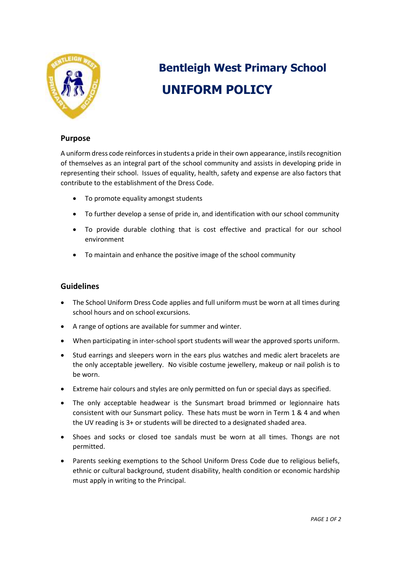

## **Bentleigh West Primary School UNIFORM POLICY**

## **Purpose**

A uniform dress code reinforces in students a pride in their own appearance, instils recognition of themselves as an integral part of the school community and assists in developing pride in representing their school. Issues of equality, health, safety and expense are also factors that contribute to the establishment of the Dress Code.

- To promote equality amongst students
- To further develop a sense of pride in, and identification with our school community
- To provide durable clothing that is cost effective and practical for our school environment
- To maintain and enhance the positive image of the school community

## **Guidelines**

- The School Uniform Dress Code applies and full uniform must be worn at all times during school hours and on school excursions.
- A range of options are available for summer and winter.
- When participating in inter-school sport students will wear the approved sports uniform.
- Stud earrings and sleepers worn in the ears plus watches and medic alert bracelets are the only acceptable jewellery. No visible costume jewellery, makeup or nail polish is to be worn.
- Extreme hair colours and styles are only permitted on fun or special days as specified.
- The only acceptable headwear is the Sunsmart broad brimmed or legionnaire hats consistent with our Sunsmart policy. These hats must be worn in Term 1 & 4 and when the UV reading is 3+ or students will be directed to a designated shaded area.
- Shoes and socks or closed toe sandals must be worn at all times. Thongs are not permitted.
- Parents seeking exemptions to the School Uniform Dress Code due to religious beliefs, ethnic or cultural background, student disability, health condition or economic hardship must apply in writing to the Principal.